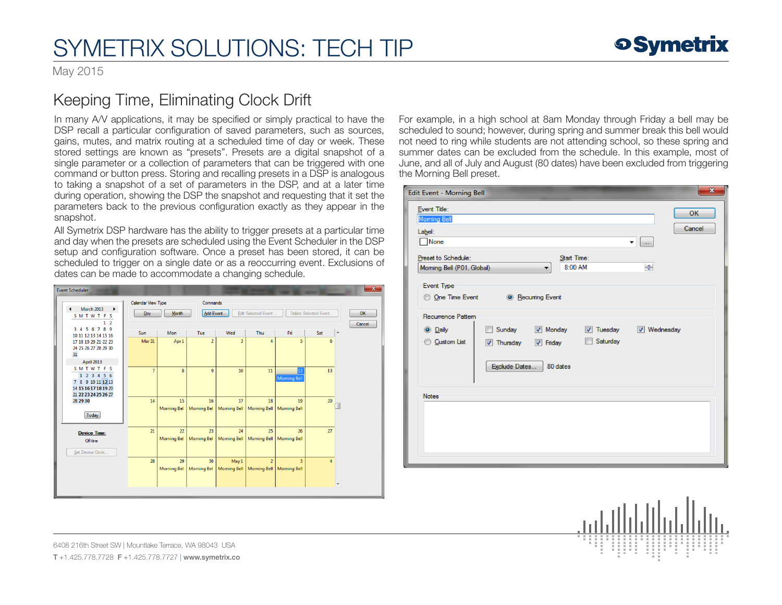May 2015

### Keeping Time, Eliminating Clock Drift

In many A/V applications, it may be specified or simply practical to have the DSP recall a particular configuration of saved parameters, such as sources, gains, mutes, and matrix routing at a scheduled time of day or week. These stored settings are known as "presets". Presets are a digital snapshot of a single parameter or a collection of parameters that can be triggered with one command or button press. Storing and recalling presets in a DSP is analogous to taking a snapshot of a set of parameters in the DSP, and at a later time during operation, showing the DSP the snapshot and requesting that it set the parameters back to the previous configuration exactly as they appear in the snapshot.

All Symetrix DSP hardware has the ability to trigger presets at a particular time and day when the presets are scheduled using the Event Scheduler in the DSP setup and configuration software. Once a preset has been stored, it can be scheduled to trigger on a single date or as a reoccurring event. Exclusions of dates can be made to accommodate a changing schedule.



For example, in a high school at 8am Monday through Friday a bell may be scheduled to sound; however, during spring and summer break this bell would not need to ring while students are not attending school, so these spring and summer dates can be excluded from the schedule. In this example, most of June, and all of July and August (80 dates) have been excluded from triggering the Morning Bell preset.

| $\mathbf{x}$<br>Edit Event - Morning Bell                                                                                                                                                |
|------------------------------------------------------------------------------------------------------------------------------------------------------------------------------------------|
| Event Title:<br>OK<br>Moming Bell<br>Cancel<br>Label:<br>None<br>▼<br>$\sim$                                                                                                             |
| Preset to Schedule:<br>Start Time:<br>8:00 AM<br>÷<br>Moming Bell (P01, Global)<br>Event Type                                                                                            |
| O One Time Event<br><b>6</b> Recurring Event<br>Recurrence Pattern                                                                                                                       |
| Monday<br>Sunday<br><b>V</b> Tuesday<br><b>V</b> Wednesday<br><b>O</b> Daily<br>m<br>Saturday<br>Custom List<br><b>7</b> Thursday<br>$\triangledown$ Friday<br>Exclude Dates<br>80 dates |
| <b>Notes</b>                                                                                                                                                                             |

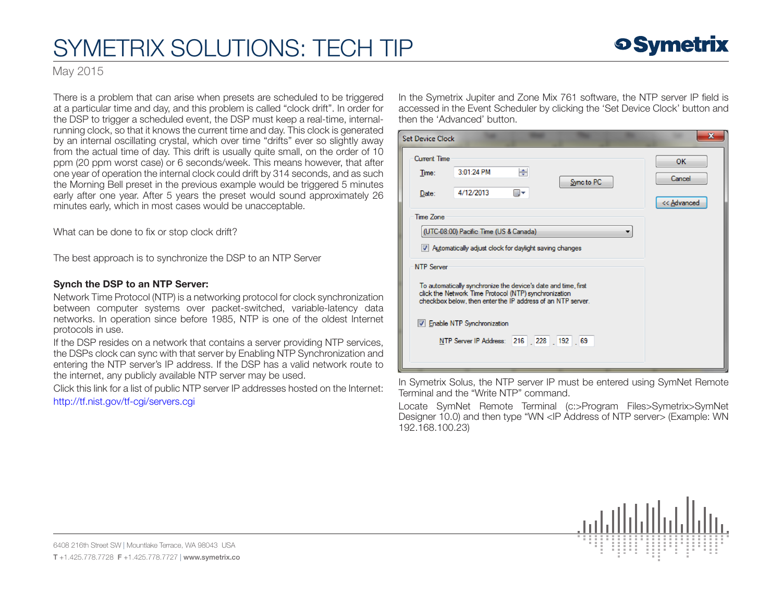### **9 Symetrix**

May 2015

There is a problem that can arise when presets are scheduled to be triggered at a particular time and day, and this problem is called "clock drift". In order for the DSP to trigger a scheduled event, the DSP must keep a real-time, internalrunning clock, so that it knows the current time and day. This clock is generated by an internal oscillating crystal, which over time "drifts" ever so slightly away from the actual time of day. This drift is usually quite small, on the order of 10 ppm (20 ppm worst case) or 6 seconds/week. This means however, that after one year of operation the internal clock could drift by 314 seconds, and as such the Morning Bell preset in the previous example would be triggered 5 minutes early after one year. After 5 years the preset would sound approximately 26 minutes early, which in most cases would be unacceptable.

What can be done to fix or stop clock drift?

The best approach is to synchronize the DSP to an NTP Server

#### Synch the DSP to an NTP Server:

Network Time Protocol (NTP) is a networking protocol for clock synchronization between computer systems over packet-switched, variable-latency data networks. In operation since before 1985, NTP is one of the oldest Internet protocols in use.

If the DSP resides on a network that contains a server providing NTP services, the DSPs clock can sync with that server by Enabling NTP Synchronization and entering the NTP server's IP address. If the DSP has a valid network route to the internet, any publicly available NTP server may be used.

Click this link for a list of public NTP server IP addresses hosted on the Internet: <http://tf.nist.gov/tf-cgi/servers.cgi>

In the Symetrix Jupiter and Zone Mix 761 software, the NTP server IP field is accessed in the Event Scheduler by clicking the 'Set Device Clock' button and then the 'Advanced' button.

| <b>Set Device Clock</b>                                                                                                                                                                                                                                                                                                                                                                                            |                         |         |            |                             |
|--------------------------------------------------------------------------------------------------------------------------------------------------------------------------------------------------------------------------------------------------------------------------------------------------------------------------------------------------------------------------------------------------------------------|-------------------------|---------|------------|-----------------------------|
| <b>Current Time</b><br>Time:<br>Date:                                                                                                                                                                                                                                                                                                                                                                              | 3:01:24 PM<br>4/12/2013 | ÷<br>▦▾ | Sync to PC | OK<br>Cancel<br><< Advanced |
| Time Zone<br>(UTC-08:00) Pacific Time (US & Canada)<br>Automatically adjust clock for daylight saving changes<br><b>NTP Server</b><br>To automatically synchronize the device's date and time, first<br>click the Network Time Protocol (NTP) synchronization<br>checkbox below, then enter the IP address of an NTP server.<br><b>V</b> Enable NTP Synchronization<br>NTP Server IP Address: 216 . 228 . 192 . 69 |                         |         |            |                             |

In Symetrix Solus, the NTP server IP must be entered using SymNet Remote Terminal and the "Write NTP" command.

Locate SymNet Remote Terminal (c:>Program Files>Symetrix>SymNet Designer 10.0) and then type "WN <IP Address of NTP server> (Example: WN 192.168.100.23)

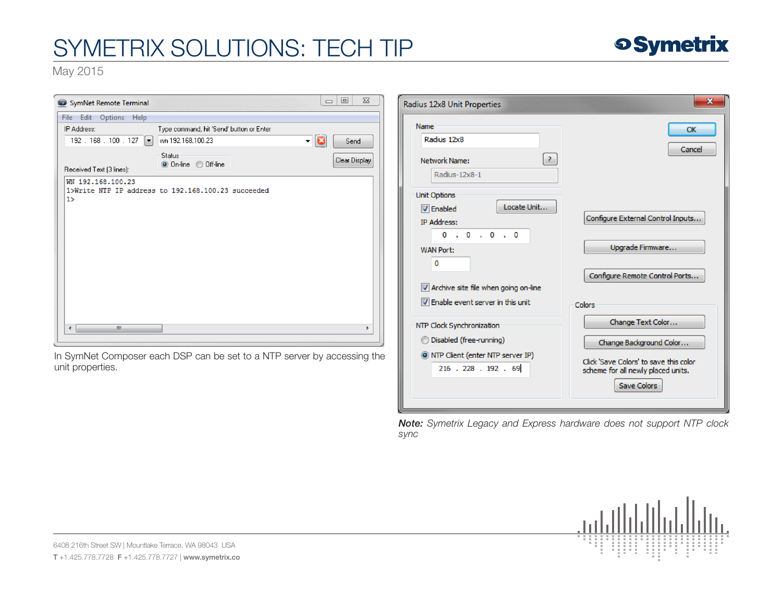

May 2015

| SymNet Remote Terminal                                                  | $\Box$<br>$\Sigma$<br>$\qquad \qquad \Box$ | Radius 12x8 Unit Properties                 | $\mathbf{x}$                           |
|-------------------------------------------------------------------------|--------------------------------------------|---------------------------------------------|----------------------------------------|
| File Edit Options Help                                                  |                                            |                                             |                                        |
| IP Address:<br>Type command, hit 'Send' button or Enter                 |                                            | Name<br>Radius 12x8                         | OK                                     |
| 192 . 168 . 100 . 127 $\boxed{\bullet}$<br>wn 192.168.100.23            | a<br>▾<br>Send                             |                                             | Cancel                                 |
| <b>Status:</b><br>O On-line O Off-line<br>Received Text (3 lines):      | Clear Display                              | $\vert$ ?<br>Network Name:<br>Radius-12x8-1 |                                        |
| WN 192.168.100.23                                                       |                                            |                                             |                                        |
| 1>Write NTP IP address to 192.168.100.23 succeeded                      |                                            | Unit Options                                |                                        |
| 1                                                                       |                                            | Locate Unit<br>$\nabla$ Enabled             |                                        |
|                                                                         |                                            |                                             | Configure External Control Inputs      |
|                                                                         |                                            | IP Address:                                 |                                        |
|                                                                         |                                            | 0.0.0.0.0                                   |                                        |
|                                                                         |                                            | <b>WAN Port:</b>                            | Upgrade Firmware                       |
|                                                                         |                                            | 0                                           |                                        |
|                                                                         |                                            |                                             | Configure Remote Control Ports         |
|                                                                         |                                            | Archive site file when going on-line        |                                        |
|                                                                         |                                            | TV Enable event server in this unit         | Colors                                 |
|                                                                         |                                            | NTP Clock Synchronization                   | Change Text Color                      |
| $\left($<br>m.                                                          |                                            |                                             |                                        |
|                                                                         |                                            | <b>Disabled (free-running)</b>              | Change Background Color                |
| In SymNet Composer each DSP can be set to a NTP server by accessing the |                                            | O NTP Client (enter NTP server IP)          | Click 'Save Colors' to save this color |
| unit properties.                                                        |                                            | 216 . 228 . 192 . 69                        | scheme for all newly placed units.     |
|                                                                         |                                            |                                             | Save Colors                            |

*Note: Symetrix Legacy and Express hardware does not support NTP clock sync*